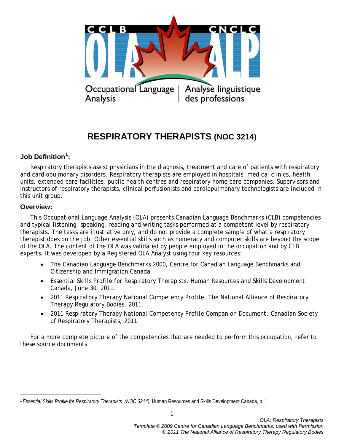

# **RESPIRATORY THERAPISTS (NOC 3214)**

## **Job Definition[1](#page-0-0) :**

Respiratory therapists assist physicians in the diagnosis, treatment and care of patients with respiratory and cardiopulmonary disorders. Respiratory therapists are employed in hospitals, medical clinics, health units, extended care facilities, public health centres and respiratory home care companies. Supervisors and instructors of respiratory therapists, clinical perfusionists and cardiopulmonary technologists are included in this unit group.

#### **Overview:**

 $\overline{a}$ 

This Occupational Language Analysis (OLA) presents Canadian Language Benchmarks (CLB) competencies and typical listening, speaking, reading and writing tasks performed at a competent level by respiratory therapists. The tasks are illustrative only, and do not provide a complete sample of what a respiratory therapist does on the job. Other essential skills such as numeracy and computer skills are beyond the scope of the OLA. The content of the OLA was validated by people employed in the occupation and by CLB experts. It was developed by a Registered OLA Analyst using four key resources:

- The *Canadian Language Benchmarks 2000*, Centre for Canadian Language Benchmarks and Citizenship and Immigration Canada.
- *Essential Skills Profile for* Respiratory Therapists, Human Resources and Skills Development Canada, June 30, 2011.
- *2011 Respiratory Therapy National Competency Profile*, The National Alliance of Respiratory Therapy Regulatory Bodies, 2011.
- *2011 Respiratory Therapy National Competency Profile Companion Document*, Canadian Society of Respiratory Therapists, 2011.

For a more complete picture of the competencies that are needed to perform this occupation, refer to these source documents.

<span id="page-0-0"></span>*<sup>1</sup> Essential Skills Profile for Respiratory Therapists (NOC 3214),* Human Resources and Skills Development Canada, p. 1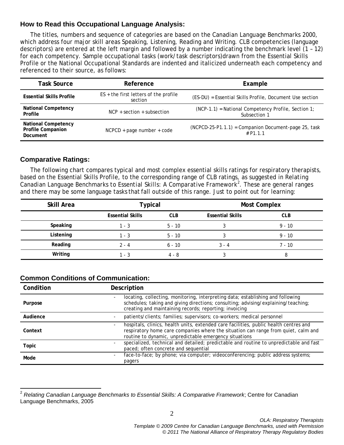### **How to Read this Occupational Language Analysis:**

The titles, numbers and sequence of categories are based on the *Canadian Language Benchmarks 2000*, which address four major skill areas Speaking, Listening, Reading and Writing. CLB competencies (language descriptors) are entered at the left margin and followed by a number indicating the benchmark level (1 – 12) for each competency. Sample occupational tasks (work/task descriptors)drawn from the Essential Skills Profile or the National Occupational Standards are indented and italicized underneath each competency and referenced to their source, as follows:

| <b>Task Source</b>                                                 | Reference                                          | Example                                                             |
|--------------------------------------------------------------------|----------------------------------------------------|---------------------------------------------------------------------|
| <b>Essential Skills Profile</b>                                    | $ES +$ the first letters of the profile<br>section | (ES-DU) = Essential Skills Profile, Document Use section            |
| <b>National Competency</b><br>Profile                              | $NCP + section + subsection$                       | (NCP-1.1) = National Competency Profile, Section 1;<br>Subsection 1 |
| <b>National Competency</b><br><b>Profile Companion</b><br>Document | $NCPCD + page$ number + code                       | (NCPCD-25-P1.1.1) = Companion Document-page 25, task<br># P1 1 1    |

#### **Comparative Ratings:**

The following chart compares typical and most complex essential skills ratings for respiratory therapists, based on the Essential Skills Profile, to the corresponding range of CLB ratings, as suggested in *Relating Canadian Language Benchmarks to Essential Skills: A Comparative Framework[2](#page-1-0)* . These are general ranges and there may be some language tasks that fall outside of this range. Just to point out for learning:

| Skill Area | <b>Typical</b>          |            | <b>Most Complex</b>     |            |  |
|------------|-------------------------|------------|-------------------------|------------|--|
|            | <b>Essential Skills</b> | <b>CLB</b> | <b>Essential Skills</b> | <b>CLB</b> |  |
| Speaking   | 1 - 3                   | $5 - 10$   |                         | $9 - 10$   |  |
| Listening  | 1 - 3                   | 5 - 10     |                         | $9 - 10$   |  |
| Reading    | $2 - 4$                 | $6 - 10$   | $3 - 4$                 | $7 - 10$   |  |
| Writing    | 1 - 3                   | $4 - 8$    |                         | 8          |  |

### **Common Conditions of Communication:**

| Condition | Description                                                                                                                                                                                                                                     |  |
|-----------|-------------------------------------------------------------------------------------------------------------------------------------------------------------------------------------------------------------------------------------------------|--|
| Purpose   | locating, collecting, monitoring, interpreting data; establishing and following<br>schedules; taking and giving directions; consulting; advising/explaining/teaching;<br>creating and maintaining records; reporting; invoicing                 |  |
| Audience  | patients/clients; families; supervisors; co-workers; medical personnel<br>$\overline{\phantom{a}}$                                                                                                                                              |  |
| Context   | hospitals, clinics, health units, extended care facilities, public health centres and<br>$\sim$<br>respiratory home care companies where the situation can range from quiet, calm and<br>routine to dynamic, unpredictable emergency situations |  |
| Topic     | specialized, technical and detailed; predictable and routine to unpredictable and fast<br>paced; often concrete and sequential                                                                                                                  |  |
| Mode      | face-to-face; by phone; via computer; videoconferencing; public address systems;<br>$\sim$<br>pagers                                                                                                                                            |  |

<span id="page-1-0"></span><sup>2</sup> *Relating Canadian Language Benchmarks to Essential Skills: A Comparative Framework*; Centre for Canadian Language Benchmarks, 2005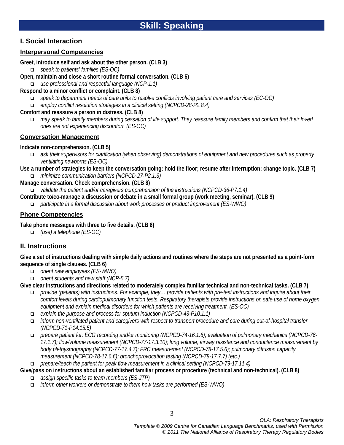### **I. Social Interaction**

## **Interpersonal Competencies**

**Greet, introduce self and ask about the other person. (CLB 3)**

- *speak to patients' families (ES-OC)*
- **Open, maintain and close a short routine formal conversation. (CLB 6)**

*use professional and respectful language (NCP-1.1)* 

## **Respond to a minor conflict or complaint. (CLB 8)**

- *speak to department heads of care units to resolve conflicts involving patient care and services (EC-OC)*
- *employ conflict resolution strategies in a clinical setting (NCPCD-28-P2.8.4)*

### **Comfort and reassure a person in distress. (CLB 8)**

 *may speak to family members during cessation of life support. They reassure family members and confirm that their loved ones are not experiencing discomfort. (ES-OC)* 

## **Conversation Management**

### **Indicate non-comprehension. (CLB 5)**

- *ask their supervisors for clarification (when observing) demonstrations of equipment and new procedures such as property ventilating newborns (ES-OC)*
- **Use a number of strategies to keep the conversation going: hold the floor; resume after interruption; change topic. (CLB 7)** *minimize communication barriers (NCPCD-27-P2.1.3)*

**Manage conversation. Check comprehension. (CLB 8)**

- *validate the patient and/or caregivers comprehension of the instructions (NCPCD-36-P7.1.4)*
- **Contribute to/co-manage a discussion or debate in a small formal group (work meeting, seminar). (CLB 9)**
	- *participate in a formal discussion about work processes or product improvement (ES-WWO)*

## **Phone Competencies**

**Take phone messages with three to five details. (CLB 6)**

*(use) a telephone (ES-OC)*

## **II. Instructions**

**Give a set of instructions dealing with simple daily actions and routines where the steps are not presented as a point-form sequence of single clauses. (CLB 6)**

- *orient new employees (ES-WWO)*
- *orient students and new staff (NCP-5.7)*

**Give clear instructions and directions related to moderately complex familiar technical and non-technical tasks. (CLB 7)**

- *provide (patients) with instructions. For example, they… provide patients with pre-test instructions and inquire about their comfort levels during cardiopulmonary function tests. Respiratory therapists provide instructions on safe use of home oxygen equipment and explain medical disorders for which patients are receiving treatment. (ES-OC)*
- *explain the purpose and process for sputum induction (NCPCD-43-P10.1.1)*
- *inform non-ventilated patient and caregivers with respect to transport procedure and care during out-of-hospital transfer (NCPCD-71-P14.15.5)*
- *prepare patient for: ECG recording and/or monitoring (NCPCD-74-16.1.6); evaluation of pulmonary mechanics (NCPCD-76- 17.1.7); flow/volume measurement (NCPCD-77-17.3.10); lung volume, airway resistance and conductance measurement by body plethysmography (NCPCD-77-17.4.7); FRC measurement (NCPCD-78-17.5.6); pulmonary diffusion capacity measurement (NCPCD-78-17.6.6); bronchoprovocation testing (NCPCD-78-17.7.7) (etc.)*
- *prepare/teach the patient for peak flow measurement in a clinical setting (NCPCD-79-17.11.4)*
- **Give/pass on instructions about an established familiar process or procedure (technical and non-technical). (CLB 8)**
	- *assign specific tasks to team members (ES-JTP)*
	- *inform other workers or demonstrate to them how tasks are performed (ES-WWO)*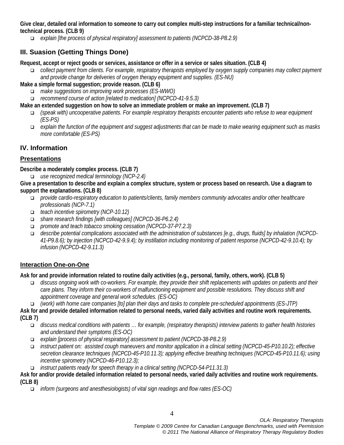**Give clear, detailed oral information to someone to carry out complex multi-step instructions for a familiar technical/nontechnical process. (CLB 9)**

*explain [the process of physical respiratory] assessment to patients (NCPCD-38-P8.2.9)* 

## **III. Suasion (Getting Things Done)**

**Request, accept or reject goods or services, assistance or offer in a service or sales situation. (CLB 4)**

 *collect payment from clients. For example, respiratory therapists employed by oxygen supply companies may collect payment and provide change for deliveries of oxygen therapy equipment and supplies. (ES-NU)* 

**Make a simple formal suggestion; provide reason. (CLB 6)**

- *make suggestions on improving work processes (ES-WWO)*
- *recommend course of action [related to medication] (NCPCD-41-9.5.3)*

**Make an extended suggestion on how to solve an immediate problem or make an improvement. (CLB 7)**

- *(speak with) uncooperative patients. For example respiratory therapists encounter patients who refuse to wear equipment (ES-PS)*
- *explain the function of the equipment and suggest adjustments that can be made to make wearing equipment such as masks more comfortable (ES-PS)*

## **IV. Information**

## **Presentations**

**Describe a moderately complex process. (CLB 7)**

*use recognized medical terminology (NCP-2.4)* 

**Give a presentation to describe and explain a complex structure, system or process based on research. Use a diagram to support the explanations. (CLB 8)**

- *provide cardio-respiratory education to patients/clients, family members community advocates and/or other healthcare professionals (NCP-7.1)*
- *teach incentive spirometry (NCP-10.12)*
- *share research findings [with colleagues] (NCPCD-36-P6.2.4)*
- *promote and teach tobacco smoking cessation (NCPCD-37-P7.2.3)*
- *describe potential complications associated with the administration of substances [e.g., drugs, fluids] by inhalation (NCPCD-41-P9.8.6); by injection (NCPCD-42-9.9.4); by instillation including monitoring of patient response (NCPCD-42-9.10.4); by infusion (NCPCD-42-9.11.3)*

## **Interaction One-on-One**

**Ask for and provide information related to routine daily activities (e.g., personal, family, others, work). (CLB 5)**

- *discuss ongoing work with co-workers. For example, they provide their shift replacements with updates on patients and their care plans. They inform their co-workers of malfunctioning equipment and possible resolutions. They discuss shift and appointment coverage and general work schedules. (ES-OC)*
- *(work) with home care companies [to] plan their days and tasks to complete pre-scheduled appointments (ES-JTP)*

**Ask for and provide detailed information related to personal needs, varied daily activities and routine work requirements. (CLB 7)**

- *discuss medical conditions with patients … for example, (respiratory therapists) interview patients to gather health histories and understand their symptoms (ES-OC)*
- *explain [process of physical respiratory] assessment to patient (NCPCD-38-P8.2.9)*
- *instruct patient on: assisted cough maneuvers and monitor application in a clinical setting (NCPCD-45-P10.10.2); effective secretion clearance techniques (NCPCD-45-P10.11.3); applying effective breathing techniques (NCPCD-45-P10.11.6); using incentive spirometry (NCPCD-46-P10.12.3);*
- *instruct patients ready for speech therapy in a clinical setting (NCPCD-54-P11.31.3)*

#### **Ask for and/or provide detailed information related to personal needs, varied daily activities and routine work requirements. (CLB 8)**

*inform (surgeons and anesthesiologists) of vital sign readings and flow rates (ES-OC)*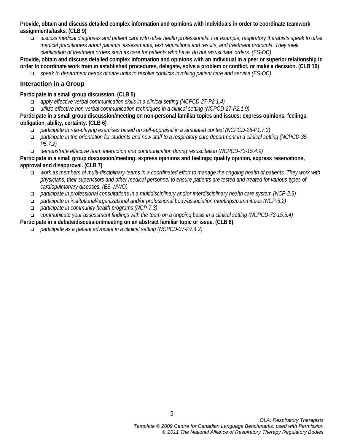**Provide, obtain and discuss detailed complex information and opinions with individuals in order to coordinate teamwork assignments/tasks. (CLB 9)**

 *discuss medical diagnoses and patient care with other health professionals. For example, respiratory therapists speak to other medical practitioners about patients' assessments, test requisitions and results, and treatment protocols. They seek clarification of treatment orders such as care for patients who have 'do not resuscitate' orders. (ES-OC)* 

**Provide, obtain and discuss detailed complex information and opinions with an individual in a peer or superior relationship in order to coordinate work train in established procedures, delegate, solve a problem or conflict, or make a decision. (CLB 10)**

*speak to department heads of care units to resolve conflicts involving patient care and service (ES-OC)* 

#### **Interaction in a Group**

**Participate in a small group discussion. (CLB 5)**

- *apply effective verbal communication skills in a clinical setting (NCPCD-27-P2.1.4)*
- *utilize effective non-verbal communication techniques in a clinical setting (NCPCD-27-P2.1.9)*

**Participate in a small group discussion/meeting on non-personal familiar topics and issues: express opinions, feelings, obligation, ability, certainty. (CLB 6)**

- *participate in role-playing exercises based on self-appraisal in a simulated context (NCPCD-26-P1.7.3)*
- *participate in the orientation for students and new staff to a respiratory care department in a clinical setting (NCPCD-35- P5.7.2)*
- *demonstrate effective team interaction and communication during resuscitation (NCPCD-73-15.4.9)*

**Participate in a small group discussion/meeting: express opinions and feelings; qualify opinion, express reservations, approval and disapproval. (CLB 7)**

- *work as members of multi-disciplinary teams in a coordinated effort to manage the ongoing health of patients. They work with physicians, their supervisors and other medical personnel to ensure patients are tested and treated for various types of cardiopulmonary diseases. (ES-WWO)*
- *participate in professional consultations in a multidisciplinary and/or interdisciplinary health care system (NCP-2.6)*
- *participate in institutional/organizational and/or professional body/association meetings/committees (NCP-5.2)*
- *participate in community health programs (NCP-7.3)*
- *communicate your assessment findings with the team on a ongoing basis in a clinical setting (NCPCD-73-15.5.4)*

**Participate in a debate/discussion/meeting on an abstract familiar topic or issue. (CLB 8)**

*participate as a patient advocate in a clinical setting (NCPCD-37-P7.4.2)*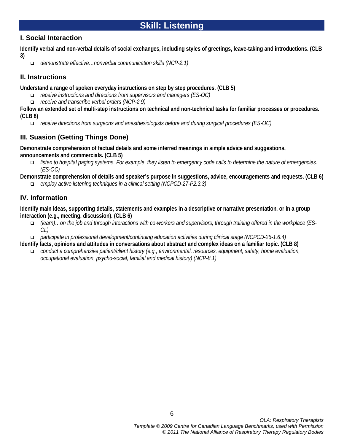### **I. Social Interaction**

**Identify verbal and non-verbal details of social exchanges, including styles of greetings, leave-taking and introductions. (CLB 3)**

*demonstrate effective…nonverbal communication skills (NCP-2.1)* 

## **II. Instructions**

**Understand a range of spoken everyday instructions on step by step procedures. (CLB 5)**

- *receive instructions and directions from supervisors and managers (ES-OC)*
- *receive and transcribe verbal orders (NCP-2.9)*

**Follow an extended set of multi-step instructions on technical and non-technical tasks for familiar processes or procedures. (CLB 8)**

*receive directions from surgeons and anesthesiologists before and during surgical procedures (ES-OC)*

## **III. Suasion (Getting Things Done)**

**Demonstrate comprehension of factual details and some inferred meanings in simple advice and suggestions, announcements and commercials. (CLB 5)**

 *listen to hospital paging systems. For example, they listen to emergency code calls to determine the nature of emergencies. (ES-OC)* 

**Demonstrate comprehension of details and speaker's purpose in suggestions, advice, encouragements and requests. (CLB 6)**

*employ active listening techniques in a clinical setting (NCPCD-27-P2.3.3)* 

## **IV**. **Information**

**Identify main ideas, supporting details, statements and examples in a descriptive or narrative presentation, or in a group interaction (e.g., meeting, discussion). (CLB 6)**

- *(learn)…on the job and through interactions with co-workers and supervisors; through training offered in the workplace (ES-CL)*
- *participate in professional development/continuing education activities during clinical stage (NCPCD-26-1.6.4)*

**Identify facts, opinions and attitudes in conversations about abstract and complex ideas on a familiar topic. (CLB 8)** 

 *conduct a comprehensive patient/client history (e.g., environmental, resources, equipment, safety, home evaluation, occupational evaluation, psycho-social, familial and medical history) (NCP-8.1)*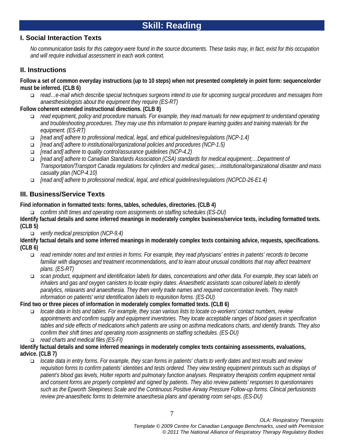### **I. Social Interaction Texts**

*No communication tasks for this category were found in the source documents. These tasks may, in fact, exist for this occupation and will require individual assessment in each work context.*

### **II. Instructions**

**Follow a set of common everyday instructions (up to 10 steps) when not presented completely in point form: sequence/order must be inferred. (CLB 6)**

 *read…e-mail which describe special techniques surgeons intend to use for upcoming surgical procedures and messages from anaesthesiologists about the equipment they require (ES-RT)*

#### **Follow coherent extended instructional directions. (CLB 8)**

- *read equipment, policy and procedure manuals. For example, they read manuals for new equipment to understand operating and troubleshooting procedures. They may use this information to prepare learning guides and training materials for the equipment. (ES-RT)*
- *[read and] adhere to professional medical, legal, and ethical guidelines/regulations (NCP-1.4)*
- *[read and] adhere to institutional/organizational policies and procedures (NCP-1.5)*
- *[read and] adhere to quality control/assurance guidelines (NCP-4.2)*
- *[read and] adhere to Canadian Standards Association (CSA) standards for medical equipment;…Department of Transportation/Transport Canada regulations for cylinders and medical gases;…institutional/organizational disaster and mass casualty plan (NCP-4.10)*
- *[read and] adhere to professional medical, legal, and ethical guidelines/regulations (NCPCD-26-E1.4)*

### **III. Business/Service Texts**

**Find information in formatted texts: forms, tables, schedules, directories. (CLB 4)**

*confirm shift times and operating room assignments on staffing schedules (ES-DU)* 

**Identify factual details and some inferred meanings in moderately complex business/service texts, including formatted texts. (CLB 5)**

*verify medical prescription (NCP-9.4)* 

**Identify factual details and some inferred meanings in moderately complex texts containing advice, requests, specifications. (CLB 6)**

- *read reminder notes and text entries in forms. For example, they read physicians' entries in patients' records to become familiar with diagnoses and treatment recommendations, and to learn about unusual conditions that may affect treatment plans. (ES-RT)*
- *scan product, equipment and identification labels for dates, concentrations and other data. For example, they scan labels on inhalers and gas and oxygen canisters to locate expiry dates. Anaesthetic assistants scan coloured labels to identify paralytics, relaxants and anaesthesia. They then verify trade names and required concentration levels. They match information on patients' wrist identification labels to requisition forms. (ES-DU)*

**Find two or three pieces of information in moderately complex formatted texts. (CLB 6)**

- *locate data in lists and tables. For example, they scan various lists to locate co-workers' contact numbers, review appointments and confirm supply and equipment inventories. They locate acceptable ranges of blood gases in specification tables and side effects of medications which patients are using on asthma medications charts, and identify brands. They also confirm their shift times and operating room assignments on staffing schedules. (ES-DU)*
- *read charts and medical files (ES-FI)*

#### **Identify factual details and some inferred meanings in moderately complex texts containing assessments, evaluations, advice. (CLB 7)**

 *locate data in entry forms. For example, they scan forms in patients' charts to verify dates and test results and review requisition forms to confirm patients' identities and tests ordered. They view testing equipment printouts such as displays of patient's blood gas levels, Holter reports and pulmonary function analyses. Respiratory therapists confirm equipment rental and consent forms are properly completed and signed by patients. They also review patients' responses to questionnaires such as the Epworth Sleepiness Scale and the Continuous Positive Airway Pressure Follow-up forms. Clinical perfusionists review pre-anaesthetic forms to determine anaesthesia plans and operating room set-ups. (ES-DU)*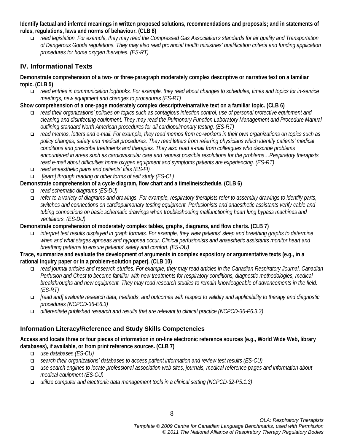**Identify factual and inferred meanings in written proposed solutions, recommendations and proposals; and in statements of rules, regulations, laws and norms of behaviour. (CLB 8)**

 *read legislation. For example, they may read the Compressed Gas Association's standards for air quality and Transportation of Dangerous Goods regulations. They may also read provincial health ministries' qualification criteria and funding application procedures for home oxygen therapies. (ES-RT)*

## **IV. Informational Texts**

**Demonstrate comprehension of a two- or three-paragraph moderately complex descriptive or narrative text on a familiar topic. (CLB 5)**

 *read entries in communication logbooks. For example, they read about changes to schedules, times and topics for in-service meetings, new equipment and changes to procedures (ES-RT)* 

### **Show comprehension of a one-page moderately complex descriptive/narrative text on a familiar topic. (CLB 6)**

- *read their organizations' policies on topics such as contagious infection control, use of personal protective equipment and cleaning and disinfecting equipment. They may read the Pulmonary Function Laboratory Management and Procedure Manual outlining standard North American procedures for all cardiopulmonary testing. (ES-RT)*
- *read memos, letters and e-mail. For example, they read memos from co-workers in their own organizations on topics such as policy changes, safety and medical procedures. They read letters from referring physicians which identify patients' medical conditions and prescribe treatments and therapies. They also read e-mail from colleagues who describe problems encountered in areas such as cardiovascular care and request possible resolutions for the problems…Respiratory therapists read e-mail about difficulties home oxygen equipment and symptoms patients are experiencing. (ES-RT)*
- *read anaesthetic plans and patients' files (ES-FI)*

*[learn] through reading or other forms of self study (ES-CL)*

- **Demonstrate comprehension of a cycle diagram, flow chart and a timeline/schedule. (CLB 6)**
	- *read schematic diagrams (ES-DU)*
	- *refer to a variety of diagrams and drawings. For example, respiratory therapists refer to assembly drawings to identify parts, switches and connections on cardiopulmonary testing equipment. Perfusionists and anaesthetic assistants verify cable and tubing connections on basic schematic drawings when troubleshooting malfunctioning heart lung bypass machines and ventilators. (ES-DU)*

### **Demonstrate comprehension of moderately complex tables, graphs, diagrams, and flow charts. (CLB 7)**

 *interpret test results displayed in graph formats. For example, they view patients' sleep and breathing graphs to determine when and what stages apnoeas and hypopnea occur. Clinical perfusionists and anaesthetic assistants monitor heart and breathing patterns to ensure patients' safety and comfort. (ES-DU)* 

#### **Trace, summarize and evaluate the development of arguments in complex expository or argumentative texts (e.g., in a rational inquiry paper or in a problem-solution paper). (CLB 10)**

- *read journal articles and research studies. For example, they may read articles in the Canadian Respiratory Journal, Canadian Perfusion and Chest to become familiar with new treatments for respiratory conditions, diagnostic methodologies, medical breakthroughs and new equipment. They may read research studies to remain knowledgeable of advancements in the field. (ES-RT)*
- *[read and] evaluate research data, methods, and outcomes with respect to validity and applicability to therapy and diagnostic procedures (NCPCD-36-E6.3)*
- *differentiate published research and results that are relevant to clinical practice (NCPCD-36-P6.3.3)*

### **Information Literacy/Reference and Study Skills Competencies**

**Access and locate three or four pieces of information in on-line electronic reference sources (e.g., World Wide Web, library databases), if available, or from print reference sources. (CLB 7)** 

- *use databases (ES-CU)*
- *search their organizations' databases to access patient information and review test results (ES-CU)*
- *use search engines to locate professional association web sites, journals, medical reference pages and information about medical equipment (ES-CU)*
- *utilize computer and electronic data management tools in a clinical setting (NCPCD-32-P5.1.3)*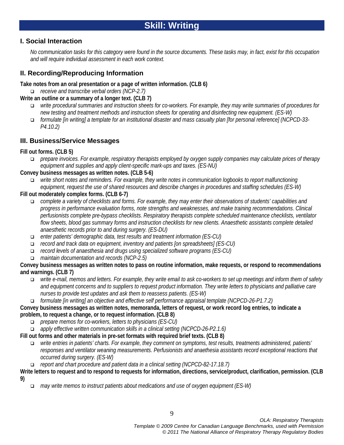### **I. Social Interaction**

*No communication tasks for this category were found in the source documents. These tasks may, in fact, exist for this occupation and will require individual assessment in each work context.*

## **II. Recording/Reproducing Information**

#### **Take notes from an oral presentation or a page of written information. (CLB 6)**

*receive and transcribe verbal orders (NCP-2.7)*

- **Write an outline or a summary of a longer text. (CLB 7)**
	- *write procedural summaries and instruction sheets for co-workers. For example, they may write summaries of procedures for new testing and treatment methods and instruction sheets for operating and disinfecting new equipment. (ES-W)*
	- *formulate [in writing] a template for an institutional disaster and mass casualty plan [for personal reference] (NCPCD-33- P4.10.2)*

### **III. Business/Service Messages**

#### **Fill out forms. (CLB 5)**

 *prepare invoices. For example, respiratory therapists employed by oxygen supply companies may calculate prices of therapy equipment and supplies and apply client-specific mark-ups and taxes. (ES-NU)*

#### **Convey business messages as written notes. (CLB 5-6)**

 *write short notes and reminders. For example, they write notes in communication logbooks to report malfunctioning equipment, request the use of shared resources and describe changes in procedures and staffing schedules (ES-W)* 

#### **Fill out moderately complex forms. (CLB 6-7)**

- *complete a variety of checklists and forms. For example, they may enter their observations of students' capabilities and progress in performance evaluation forms, note strengths and weaknesses, and make training recommendations. Clinical perfusionists complete pre-bypass checklists. Respiratory therapists complete scheduled maintenance checklists, ventilator flow sheets, blood gas summary forms and instruction checklists for new clients. Anaesthetic assistants complete detailed anaesthetic records prior to and during surgery. (ES-DU)*
- *enter patients' demographic data, test results and treatment information (ES-CU)*
- *record and track data on equipment, inventory and patients [on spreadsheets] (ES-CU)*
- *record levels of anaesthesia and drugs using specialized software programs (ES-CU)*
- *maintain documentation and records (NCP-2.5)*

#### **Convey business messages as written notes to pass on routine information, make requests, or respond to recommendations and warnings. (CLB 7)**

- *write e-mail, memos and letters. For example, they write email to ask co-workers to set up meetings and inform them of safety and equipment concerns and to suppliers to request product information. They write letters to physicians and palliative care nurses to provide test updates and ask them to reassess patients. (ES-W)*
- *formulate [in writing] an objective and effective self performance appraisal template (NCPCD-26-P1.7.2)*

#### **Convey business messages as written notes, memoranda, letters of request, or work record log entries, to indicate a problem, to request a change, or to request information. (CLB 8)**

- *prepare memos for co-workers, letters to physicians (ES-CU)*
- *apply effective written communication skills in a clinical setting (NCPCD-26-P2.1.6)*
- **Fill out forms and other materials in pre-set formats with required brief texts. (CLB 8)**
	- *write entries in patients' charts. For example, they comment on symptoms, test results, treatments administered, patients' responses and ventilator weaning measurements. Perfusionists and anaethesia assistants record exceptional reactions that occurred during surgery. (ES-W)*
	- *report and chart procedure and patient data in a clinical setting (NCPCD-82-17.18.7)*

#### **Write letters to request and to respond to requests for information, directions, service/product, clarification, permission. (CLB 9)**

*may write memos to instruct patients about medications and use of oxygen equipment (ES-W)*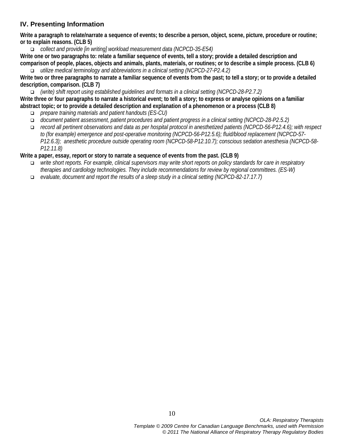## **IV. Presenting Information**

**Write a paragraph to relate/narrate a sequence of events; to describe a person, object, scene, picture, procedure or routine; or to explain reasons. (CLB 5)**

*collect and provide [in writing] workload measurement data (NCPCD-35-E54)* 

**Write one or two paragraphs to: relate a familiar sequence of events, tell a story; provide a detailed description and comparison of people, places, objects and animals, plants, materials, or routines; or to describe a simple process. (CLB 6)** *utilize medical terminology and abbreviations in a clinical setting (NCPCD-27-P2.4.2)* 

**Write two or three paragraphs to narrate a familiar sequence of events from the past; to tell a story; or to provide a detailed description, comparison. (CLB 7)**

*(write) shift report using established guidelines and formats in a clinical setting (NCPCD-28-P2.7.2)* 

**Write three or four paragraphs to narrate a historical event; to tell a story; to express or analyse opinions on a familiar abstract topic; or to provide a detailed description and explanation of a phenomenon or a process (CLB 8)** 

- *prepare training materials and patient handouts (ES-CU)*
- *document patient assessment, patient procedures and patient progress in a clinical setting (NCPCD-28-P2.5.2)*
- *record all pertinent observations and data as per hospital protocol in anesthetized patients (NCPCD-56-P12.4.6); with respect to (for example) emergence and post-operative monitoring (NCPCD-56-P12.5.6); fluid/blood replacement (NCPCD-57- P12.6.3); anesthetic procedure outside operating room (NCPCD-58-P12.10.7); conscious sedation anesthesia (NCPCD-58- P12.11.8)*

#### **Write a paper, essay, report or story to narrate a sequence of events from the past. (CLB 9)**

- *write short reports. For example, clinical supervisors may write short reports on policy standards for care in respiratory therapies and cardiology technologies. They include recommendations for review by regional committees. (ES-W)*
- *evaluate, document and report the results of a sleep study in a clinical setting (NCPCD-82-17.17.7)*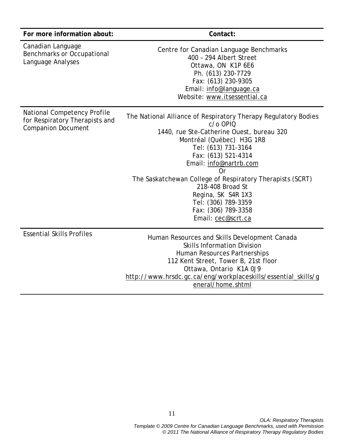| For more information about:                                                                       | Contact:                                                                                                                                                                                                                                                                                                                                                                                                      |
|---------------------------------------------------------------------------------------------------|---------------------------------------------------------------------------------------------------------------------------------------------------------------------------------------------------------------------------------------------------------------------------------------------------------------------------------------------------------------------------------------------------------------|
| Canadian Language<br><b>Benchmarks or Occupational</b><br>Language Analyses                       | Centre for Canadian Language Benchmarks<br>400 - 294 Albert Street<br>Ottawa, ON K1P 6E6<br>Ph. (613) 230-7729<br>Fax: (613) 230-9305<br>Email: info@language.ca<br>Website: www.itsessential.ca                                                                                                                                                                                                              |
| <b>National Competency Profile</b><br>for Respiratory Therapists and<br><b>Companion Document</b> | The National Alliance of Respiratory Therapy Regulatory Bodies<br>c/o OPIQ<br>1440, rue Ste-Catherine Ouest, bureau 320<br>Montréal (Québec) H3G 1R8<br>Tel: (613) 731-3164<br>Fax: (613) 521-4314<br>Email: info@nartrb.com<br>0r<br>The Saskatchewan College of Respiratory Therapists (SCRT)<br>218-408 Broad St<br>Regina, SK S4R 1X3<br>Tel: (306) 789-3359<br>Fax: (306) 789-3358<br>Email: cec@scrt.ca |
| <b>Essential Skills Profiles</b>                                                                  | Human Resources and Skills Development Canada<br><b>Skills Information Division</b><br>Human Resources Partnerships<br>112 Kent Street, Tower B, 21st floor<br>Ottawa, Ontario K1A 0J9<br>http://www.hrsdc.gc.ca/eng/workplaceskills/essential_skills/g<br>eneral/home.shtml                                                                                                                                  |